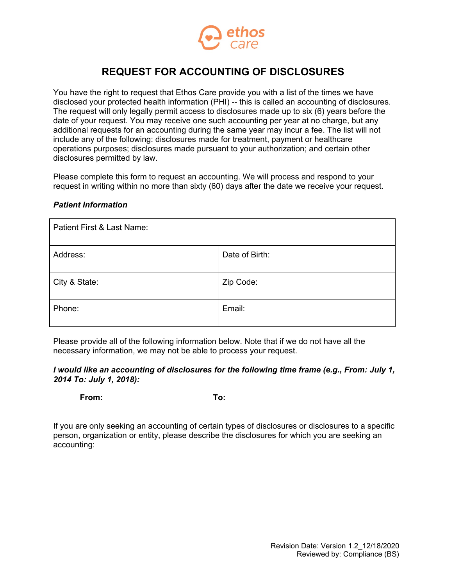

# **REQUEST FOR ACCOUNTING OF DISCLOSURES**

You have the right to request that Ethos Care provide you with a list of the times we have disclosed your protected health information (PHI) -- this is called an accounting of disclosures. The request will only legally permit access to disclosures made up to six (6) years before the date of your request. You may receive one such accounting per year at no charge, but any additional requests for an accounting during the same year may incur a fee. The list will not include any of the following: disclosures made for treatment, payment or healthcare operations purposes; disclosures made pursuant to your authorization; and certain other disclosures permitted by law.

Please complete this form to request an accounting. We will process and respond to your request in writing within no more than sixty (60) days after the date we receive your request.

### *Patient Information*

| Patient First & Last Name: |                |  |
|----------------------------|----------------|--|
| Address:                   | Date of Birth: |  |
| City & State:              | Zip Code:      |  |
| Phone:                     | Email:         |  |

Please provide all of the following information below. Note that if we do not have all the necessary information, we may not be able to process your request.

### *I would like an accounting of disclosures for the following time frame (e.g., From: July 1, 2014 To: July 1, 2018):*

**From: To:**

If you are only seeking an accounting of certain types of disclosures or disclosures to a specific person, organization or entity, please describe the disclosures for which you are seeking an accounting: